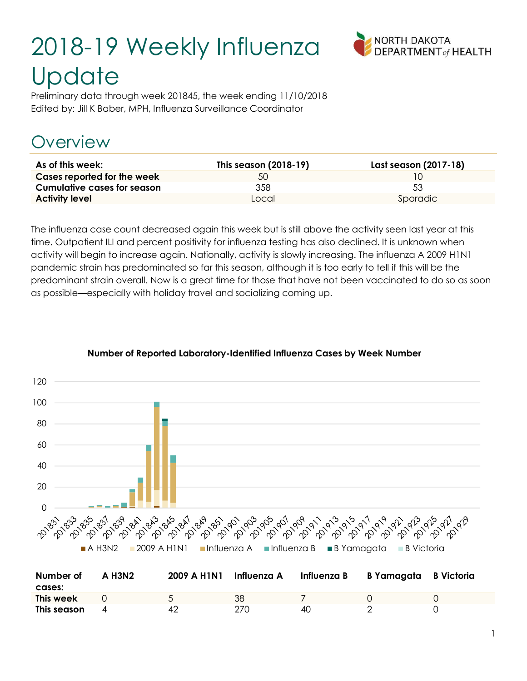# 2018-19 Weekly Influenza **Update**



Preliminary data through week 201845, the week ending 11/10/2018 Edited by: Jill K Baber, MPH, Influenza Surveillance Coordinator

# Overview

| As of this week:            | This season (2018-19) | Last season (2017-18) |
|-----------------------------|-----------------------|-----------------------|
| Cases reported for the week | 50                    |                       |
| Cumulative cases for season | 358                   | 53                    |
| <b>Activity level</b>       | Local                 | Sporadic              |

The influenza case count decreased again this week but is still above the activity seen last year at this time. Outpatient ILI and percent positivity for influenza testing has also declined. It is unknown when activity will begin to increase again. Nationally, activity is slowly increasing. The influenza A 2009 H1N1 pandemic strain has predominated so far this season, although it is too early to tell if this will be the predominant strain overall. Now is a great time for those that have not been vaccinated to do so as soon as possible—especially with holiday travel and socializing coming up.



#### Number of Reported Laboratory-Identified Influenza Cases by Week Number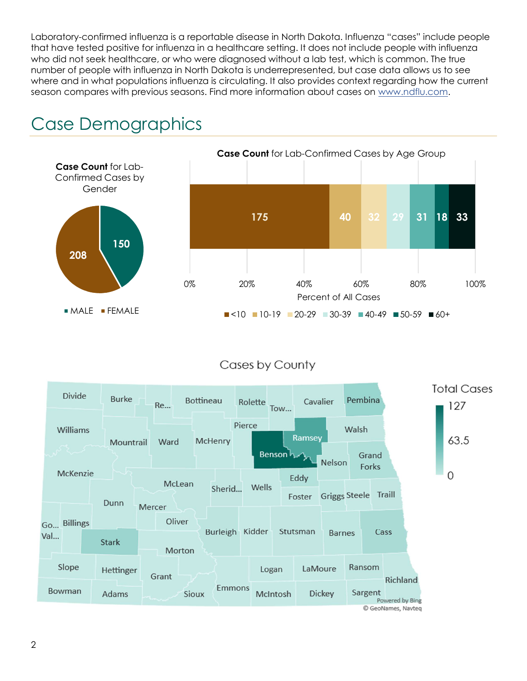Laboratory-confirmed influenza is a reportable disease in North Dakota. Influenza "cases" include people that have tested positive for influenza in a healthcare setting. It does not include people with influenza who did not seek healthcare, or who were diagnosed without a lab test, which is common. The true number of people with influenza in North Dakota is underrepresented, but case data allows us to see where and in what populations influenza is circulating. It also provides context regarding how the current season compares with previous seasons. Find more information about cases on www.ndflu.com.



# Case Demographics

#### Cases by County

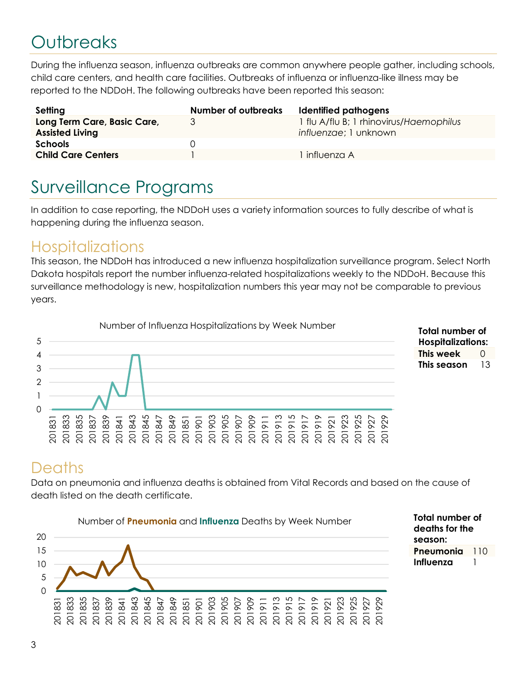# **Outbreaks**

During the influenza season, influenza outbreaks are common anywhere people gather, including schools, child care centers, and health care facilities. Outbreaks of influenza or influenza-like illness may be reported to the NDDoH. The following outbreaks have been reported this season:

| Setting                                               | <b>Number of outbreaks</b> | Identified pathogens                                             |
|-------------------------------------------------------|----------------------------|------------------------------------------------------------------|
| Long Term Care, Basic Care,<br><b>Assisted Living</b> | 3                          | 1 flu A/flu B; 1 rhinovirus/Haemophilus<br>influenzae; 1 unknown |
| <b>Schools</b>                                        | $\Box$                     |                                                                  |
| <b>Child Care Centers</b>                             |                            | influenza A                                                      |

# Surveillance Programs

In addition to case reporting, the NDDoH uses a variety information sources to fully describe of what is happening during the influenza season.

#### **Hospitalizations**

This season, the NDDoH has introduced a new influenza hospitalization surveillance program. Select North Dakota hospitals report the number influenza-related hospitalizations weekly to the NDDoH. Because this surveillance methodology is new, hospitalization numbers this year may not be comparable to previous years.





Total number of deaths for the season:

Pneumonia 110 Influenza 1

### **Deaths**

Data on pneumonia and influenza deaths is obtained from Vital Records and based on the cause of death listed on the death certificate.

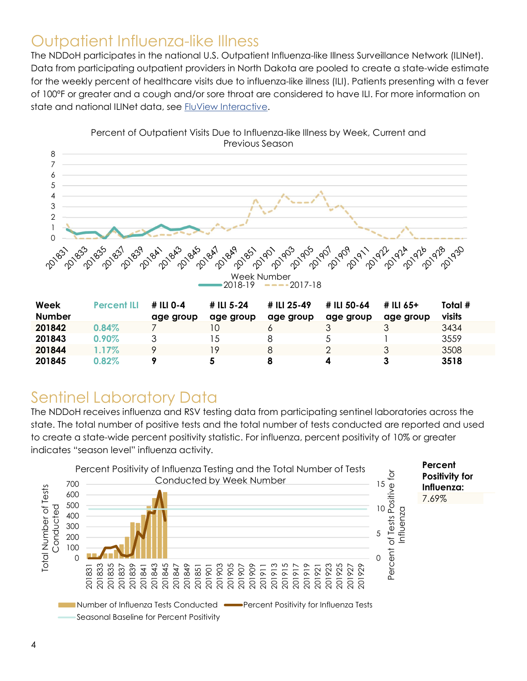### Outpatient Influenza-like Illness

The NDDoH participates in the national U.S. Outpatient Influenza-like Illness Surveillance Network (ILINet). Data from participating outpatient providers in North Dakota are pooled to create a state-wide estimate for the weekly percent of healthcare visits due to influenza-like illness (ILI). Patients presenting with a fever of 100ºF or greater and a cough and/or sore throat are considered to have ILI. For more information on state and national ILINet data, see FluView Interactive.



**201843** 0.90% 3 15 8 5 1 3559 **201844** 1.17% 9 19 8 2 3 3508 201845 0.82% 9 5 8 4 3 3518

Percent of Outpatient Visits Due to Influenza-like Illness by Week, Current and Previous Season

### Sentinel Laboratory Data

The NDDoH receives influenza and RSV testing data from participating sentinel laboratories across the state. The total number of positive tests and the total number of tests conducted are reported and used to create a state-wide percent positivity statistic. For influenza, percent positivity of 10% or greater indicates "season level" influenza activity.

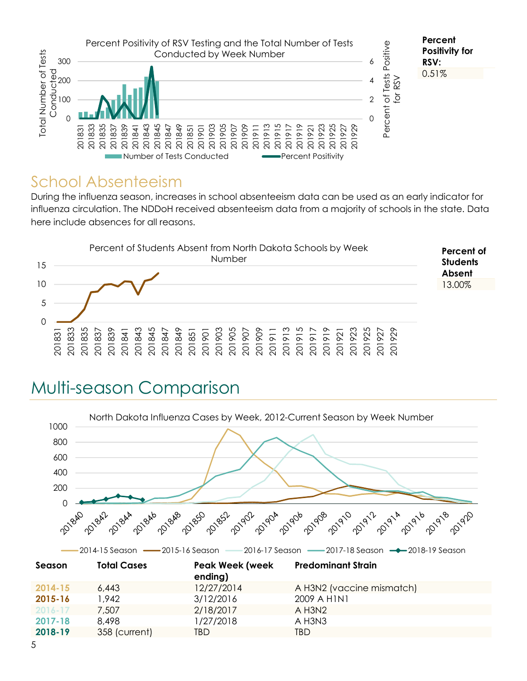

#### School Absenteeism

During the influenza season, increases in school absenteeism data can be used as an early indicator for influenza circulation. The NDDoH received absenteeism data from a majority of schools in the state. Data here include absences for all reasons.



# Multi-season Comparison